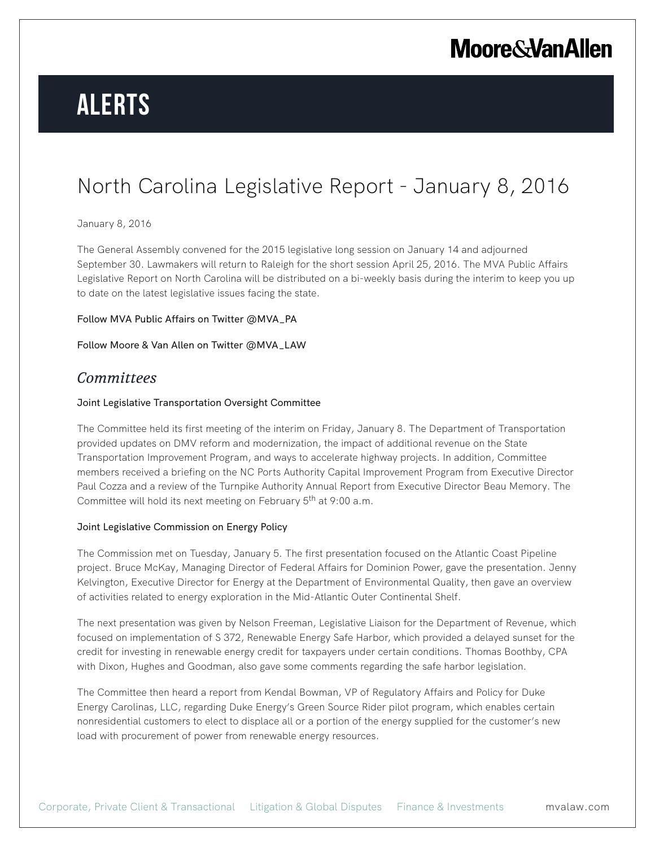# **Alerts**

### North Carolina Legislative Report - January 8, 2016

#### January 8, 2016

The General Assembly convened for the 2015 legislative long session on January 14 and adjourned September 30. Lawmakers will return to Raleigh for the short session April 25, 2016. The MVA Public Affairs Legislative Report on North Carolina will be distributed on a bi-weekly basis during the interim to keep you up to date on the latest legislative issues facing the state.

#### Follow MVA Public Affairs on Twitter @MVA\_PA

Follow Moore & Van Allen on Twitter @MVA\_LAW

### *Committees*

#### Joint Legislative Transportation Oversight Committee

The Committee held its first meeting of the interim on Friday, January 8. The Department of Transportation provided updates on DMV reform and modernization, the impact of additional revenue on the State Transportation Improvement Program, and ways to accelerate highway projects. In addition, Committee members received a briefing on the NC Ports Authority Capital Improvement Program from Executive Director Paul Cozza and a review of the Turnpike Authority Annual Report from Executive Director Beau Memory. The Committee will hold its next meeting on February 5<sup>th</sup> at 9:00 a.m.

#### Joint Legislative Commission on Energy Policy

The Commission met on Tuesday, January 5. The first presentation focused on the Atlantic Coast Pipeline project. Bruce McKay, Managing Director of Federal Affairs for Dominion Power, gave the presentation. Jenny Kelvington, Executive Director for Energy at the Department of Environmental Quality, then gave an overview of activities related to energy exploration in the Mid-Atlantic Outer Continental Shelf.

The next presentation was given by Nelson Freeman, Legislative Liaison for the Department of Revenue, which focused on implementation of S 372, Renewable Energy Safe Harbor, which provided a delayed sunset for the credit for investing in renewable energy credit for taxpayers under certain conditions. Thomas Boothby, CPA with Dixon, Hughes and Goodman, also gave some comments regarding the safe harbor legislation.

The Committee then heard a report from Kendal Bowman, VP of Regulatory Affairs and Policy for Duke Energy Carolinas, LLC, regarding Duke Energy's Green Source Rider pilot program, which enables certain nonresidential customers to elect to displace all or a portion of the energy supplied for the customer's new load with procurement of power from renewable energy resources.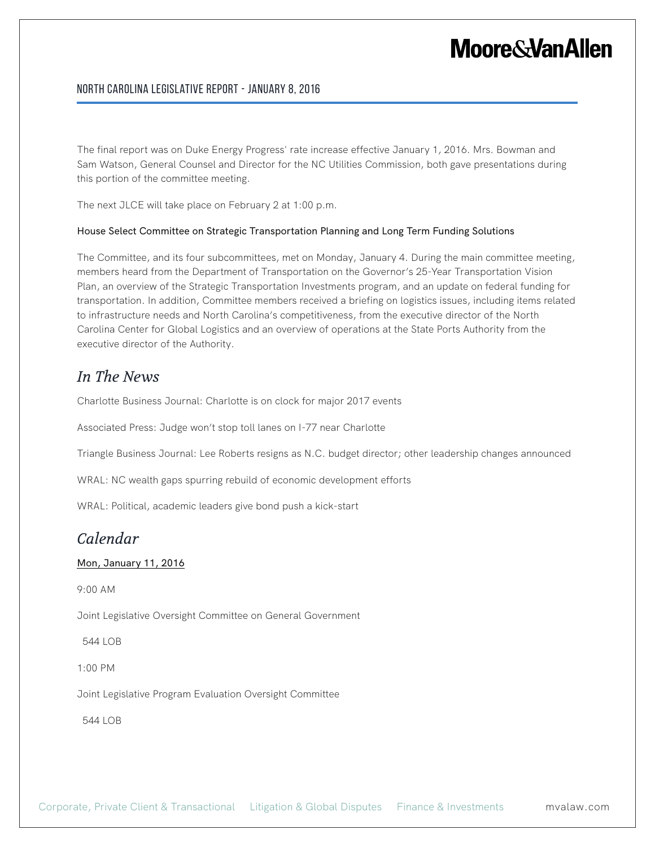#### North Carolina Legislative Report - January 8, 2016

The final report was on Duke Energy Progress' rate increase effective January 1, 2016. Mrs. Bowman and Sam Watson, General Counsel and Director for the NC Utilities Commission, both gave presentations during this portion of the committee meeting.

The next JLCE will take place on February 2 at 1:00 p.m.

#### House Select Committee on Strategic Transportation Planning and Long Term Funding Solutions

The Committee, and its four subcommittees, met on Monday, January 4. During the main committee meeting, members heard from the Department of Transportation on the Governor's 25-Year Transportation Vision Plan, an overview of the Strategic Transportation Investments program, and an update on federal funding for transportation. In addition, Committee members received a briefing on logistics issues, including items related to infrastructure needs and North Carolina's competitiveness, from the executive director of the North Carolina Center for Global Logistics and an overview of operations at the State Ports Authority from the executive director of the Authority.

### *In The News*

Charlotte Business Journal: Charlotte is on clock for major 2017 events

Associated Press: Judge won't stop toll lanes on I-77 near Charlotte

Triangle Business Journal: Lee Roberts resigns as N.C. budget director; other leadership changes announced

WRAL: NC wealth gaps spurring rebuild of economic development efforts

WRAL: Political, academic leaders give bond push a kick-start

### *Calendar*

#### Mon, January 11, 2016

9:00 AM

Joint Legislative Oversight Committee on General Government

544 LOB

1:00 PM

Joint Legislative Program Evaluation Oversight Committee

544 LOB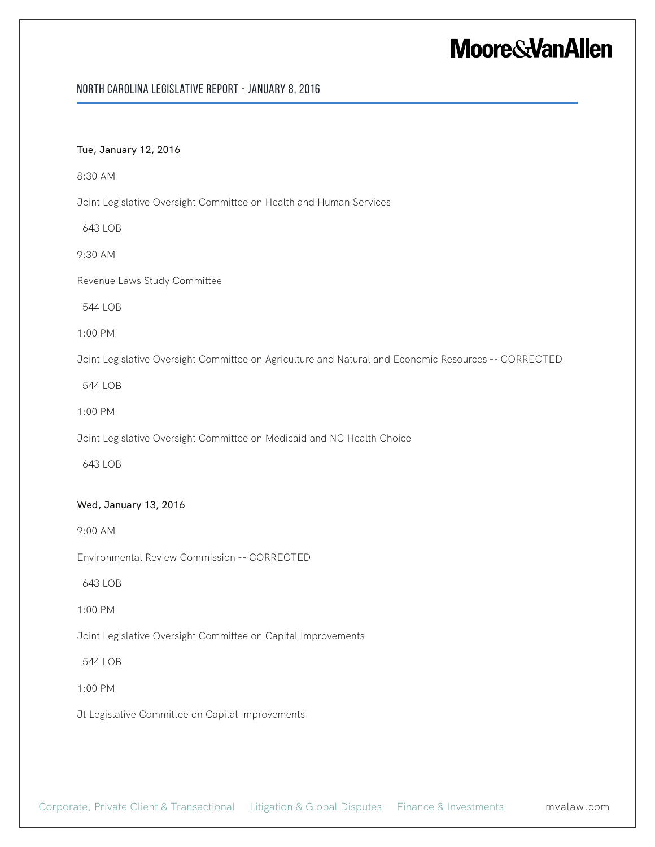#### North Carolina Legislative Report - January 8, 2016

#### Tue, January 12, 2016

8:30 AM

Joint Legislative Oversight Committee on Health and Human Services

643 LOB

9:30 AM

Revenue Laws Study Committee

544 LOB

1:00 PM

Joint Legislative Oversight Committee on Agriculture and Natural and Economic Resources -- CORRECTED

544 LOB

1:00 PM

Joint Legislative Oversight Committee on Medicaid and NC Health Choice

643 LOB

#### Wed, January 13, 2016

9:00 AM

Environmental Review Commission -- CORRECTED

643 LOB

1:00 PM

Joint Legislative Oversight Committee on Capital Improvements

544 LOB

1:00 PM

Jt Legislative Committee on Capital Improvements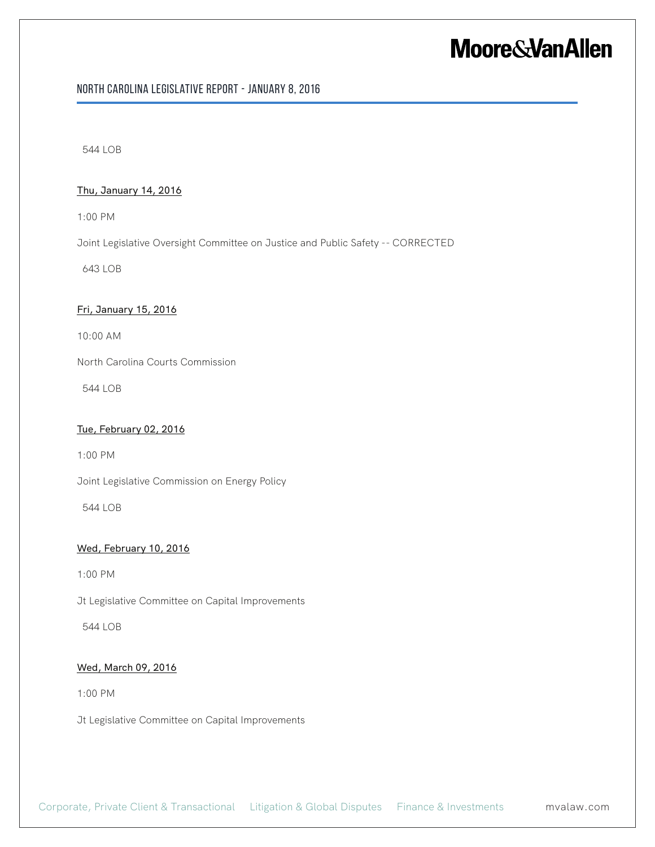#### North Carolina Legislative Report - January 8, 2016

544 LOB

#### Thu, January 14, 2016

1:00 PM

Joint Legislative Oversight Committee on Justice and Public Safety -- CORRECTED

643 LOB

#### Fri, January 15, 2016

10:00 AM

North Carolina Courts Commission

544 LOB

#### Tue, February 02, 2016

1:00 PM

Joint Legislative Commission on Energy Policy

544 LOB

#### Wed, February 10, 2016

1:00 PM

Jt Legislative Committee on Capital Improvements

544 LOB

#### Wed, March 09, 2016

1:00 PM

Jt Legislative Committee on Capital Improvements